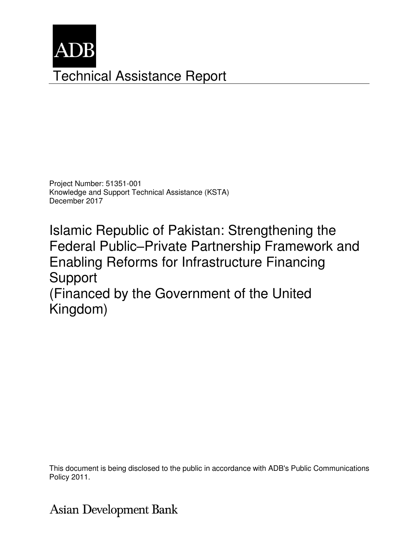

Project Number: 51351-001 Knowledge and Support Technical Assistance (KSTA) December 2017

Islamic Republic of Pakistan: Strengthening the Federal Public–Private Partnership Framework and Enabling Reforms for Infrastructure Financing Support

(Financed by the Government of the United Kingdom)

This document is being disclosed to the public in accordance with ADB's Public Communications Policy 2011.

# **Asian Development Bank**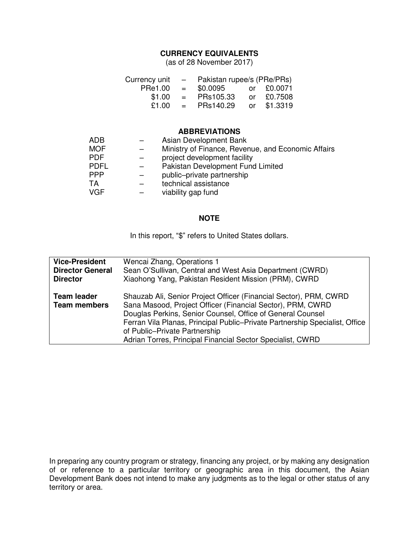## **CURRENCY EQUIVALENTS**

(as of 28 November 2017)

| Currency unit | $\sim$ $-$   | Pakistan rupee/s (PRe/PRs) |  |             |
|---------------|--------------|----------------------------|--|-------------|
| PRe1.00       | $\alpha = 1$ | \$0.0095                   |  | or £0.0071  |
| \$1.00        | $=$          | PRs105.33                  |  | or £0.7508  |
| £1.00         | $=$          | PRs140.29                  |  | or \$1.3319 |

### **ABBREVIATIONS**

| <b>ADB</b>  | Asian Development Bank                             |
|-------------|----------------------------------------------------|
| <b>MOF</b>  | Ministry of Finance, Revenue, and Economic Affairs |
| <b>PDF</b>  | project development facility                       |
| <b>PDFL</b> | Pakistan Development Fund Limited                  |
| PPP         | public-private partnership                         |
| TA          | technical assistance                               |
| <b>VGF</b>  | viability gap fund                                 |

#### **NOTE**

In this report, "\$" refers to United States dollars.

| <b>Vice-President</b>                     | Wencai Zhang, Operations 1                                                                                                                                                                                                                                                                                                                                                  |
|-------------------------------------------|-----------------------------------------------------------------------------------------------------------------------------------------------------------------------------------------------------------------------------------------------------------------------------------------------------------------------------------------------------------------------------|
| <b>Director General</b>                   | Sean O'Sullivan, Central and West Asia Department (CWRD)                                                                                                                                                                                                                                                                                                                    |
| <b>Director</b>                           | Xiaohong Yang, Pakistan Resident Mission (PRM), CWRD                                                                                                                                                                                                                                                                                                                        |
| <b>Team leader</b><br><b>Team members</b> | Shauzab Ali, Senior Project Officer (Financial Sector), PRM, CWRD<br>Sana Masood, Project Officer (Financial Sector), PRM, CWRD<br>Douglas Perkins, Senior Counsel, Office of General Counsel<br>Ferran Vila Planas, Principal Public-Private Partnership Specialist, Office<br>of Public-Private Partnership<br>Adrian Torres, Principal Financial Sector Specialist, CWRD |

In preparing any country program or strategy, financing any project, or by making any designation of or reference to a particular territory or geographic area in this document, the Asian Development Bank does not intend to make any judgments as to the legal or other status of any territory or area.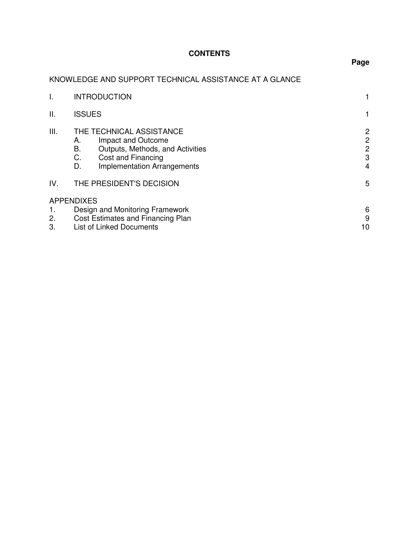# **CONTENTS**

# **Page**

# KNOWLEDGE AND SUPPORT TECHNICAL ASSISTANCE AT A GLANCE

|      | <b>INTRODUCTION</b>                                                                                                                                                    |                                                          |
|------|------------------------------------------------------------------------------------------------------------------------------------------------------------------------|----------------------------------------------------------|
| Ш.   | <b>ISSUES</b>                                                                                                                                                          |                                                          |
| III. | THE TECHNICAL ASSISTANCE<br>Impact and Outcome<br>А.<br>В.<br>Outputs, Methods, and Activities<br>C.<br>Cost and Financing<br>D.<br><b>Implementation Arrangements</b> | $\overline{2}$<br>$\mathbf{2}$<br>$\mathbf{2}$<br>3<br>4 |
| IV.  | THE PRESIDENT'S DECISION                                                                                                                                               | 5                                                        |
|      | <b>APPENDIXES</b>                                                                                                                                                      |                                                          |
| 1.   | Design and Monitoring Framework                                                                                                                                        | 6<br>9                                                   |
| 2.   | Cost Estimates and Financing Plan                                                                                                                                      |                                                          |
| 3.   | <b>List of Linked Documents</b>                                                                                                                                        |                                                          |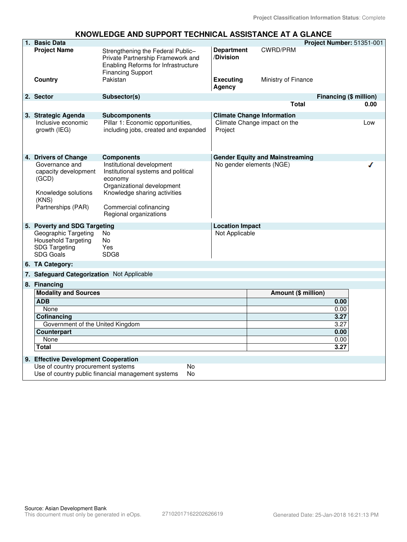#### **KNOWLEDGE AND SUPPORT TECHNICAL ASSISTANCE AT A GLANCE**

| 1. Basic Data                                                                                  |                                                                                                                                           |                                |                                        | Project Number: 51351-001 |
|------------------------------------------------------------------------------------------------|-------------------------------------------------------------------------------------------------------------------------------------------|--------------------------------|----------------------------------------|---------------------------|
| <b>Project Name</b>                                                                            | Strengthening the Federal Public-<br>Private Partnership Framework and<br>Enabling Reforms for Infrastructure<br><b>Financing Support</b> | <b>Department</b><br>/Division | <b>CWRD/PRM</b>                        |                           |
| Country                                                                                        | Pakistan                                                                                                                                  | <b>Executing</b><br>Agency     | Ministry of Finance                    |                           |
| 2. Sector                                                                                      | Subsector(s)                                                                                                                              |                                |                                        | Financing (\$ million)    |
|                                                                                                |                                                                                                                                           |                                | Total                                  | 0.00                      |
| 3. Strategic Agenda                                                                            | <b>Subcomponents</b>                                                                                                                      |                                | <b>Climate Change Information</b>      |                           |
| Inclusive economic<br>growth (IEG)                                                             | Pillar 1: Economic opportunities,<br>including jobs, created and expanded                                                                 | Project                        | Climate Change impact on the           | Low                       |
| 4. Drivers of Change                                                                           | <b>Components</b>                                                                                                                         |                                | <b>Gender Equity and Mainstreaming</b> |                           |
| Governance and<br>capacity development<br>(GCD)<br>Knowledge solutions<br>(KNS)                | Institutional development<br>Institutional systems and political<br>economy<br>Organizational development<br>Knowledge sharing activities |                                | No gender elements (NGE)               |                           |
| Partnerships (PAR)                                                                             | Commercial cofinancing<br>Regional organizations                                                                                          |                                |                                        |                           |
| 5. Poverty and SDG Targeting                                                                   |                                                                                                                                           | <b>Location Impact</b>         |                                        |                           |
| Geographic Targeting<br><b>Household Targeting</b><br><b>SDG Targeting</b><br><b>SDG Goals</b> | <b>No</b><br><b>No</b><br>Yes<br>SDG8                                                                                                     | Not Applicable                 |                                        |                           |
| 6. TA Category:                                                                                |                                                                                                                                           |                                |                                        |                           |
| 7. Safeguard Categorization Not Applicable                                                     |                                                                                                                                           |                                |                                        |                           |
| 8. Financing                                                                                   |                                                                                                                                           |                                |                                        |                           |
| <b>Modality and Sources</b>                                                                    |                                                                                                                                           |                                | Amount (\$ million)                    |                           |
| <b>ADB</b>                                                                                     |                                                                                                                                           |                                |                                        | 0.00                      |
| None                                                                                           |                                                                                                                                           |                                |                                        | 0.00                      |
| Cofinancing                                                                                    |                                                                                                                                           |                                |                                        | 3.27                      |
| Government of the United Kingdom                                                               |                                                                                                                                           |                                |                                        | 3.27                      |
| <b>Counterpart</b>                                                                             |                                                                                                                                           |                                |                                        | 0.00                      |
| None<br>Total                                                                                  |                                                                                                                                           |                                |                                        | 0.00<br>3.27              |
|                                                                                                |                                                                                                                                           |                                |                                        |                           |
| 9. Effective Development Cooperation                                                           |                                                                                                                                           |                                |                                        |                           |
| Use of country procurement systems                                                             | N <sub>o</sub><br>Use of country public financial management systems<br>No                                                                |                                |                                        |                           |
|                                                                                                |                                                                                                                                           |                                |                                        |                           |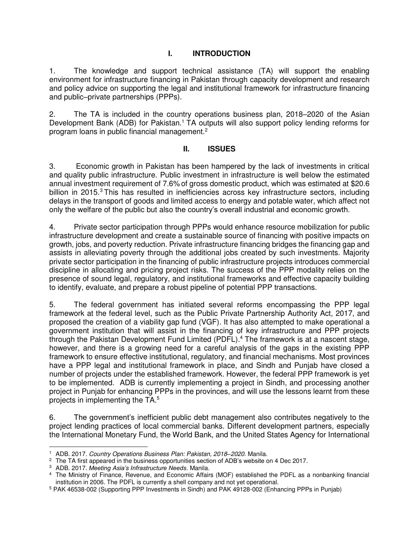## **I. INTRODUCTION**

1. The knowledge and support technical assistance (TA) will support the enabling environment for infrastructure financing in Pakistan through capacity development and research and policy advice on supporting the legal and institutional framework for infrastructure financing and public–private partnerships (PPPs).

2. The TA is included in the country operations business plan, 2018–2020 of the Asian Development Bank (ADB) for Pakistan.<sup>1</sup> TA outputs will also support policy lending reforms for program loans in public financial management.<sup>2</sup>

#### **II. ISSUES**

3. Economic growth in Pakistan has been hampered by the lack of investments in critical and quality public infrastructure. Public investment in infrastructure is well below the estimated annual investment requirement of 7.6% of gross domestic product, which was estimated at \$20.6 billion in 2015.<sup>3</sup> This has resulted in inefficiencies across key infrastructure sectors, including delays in the transport of goods and limited access to energy and potable water, which affect not only the welfare of the public but also the country's overall industrial and economic growth.

4. Private sector participation through PPPs would enhance resource mobilization for public infrastructure development and create a sustainable source of financing with positive impacts on growth, jobs, and poverty reduction. Private infrastructure financing bridges the financing gap and assists in alleviating poverty through the additional jobs created by such investments. Majority private sector participation in the financing of public infrastructure projects introduces commercial discipline in allocating and pricing project risks. The success of the PPP modality relies on the presence of sound legal, regulatory, and institutional frameworks and effective capacity building to identify, evaluate, and prepare a robust pipeline of potential PPP transactions.

5. The federal government has initiated several reforms encompassing the PPP legal framework at the federal level, such as the Public Private Partnership Authority Act, 2017, and proposed the creation of a viability gap fund (VGF). It has also attempted to make operational a government institution that will assist in the financing of key infrastructure and PPP projects through the Pakistan Development Fund Limited (PDFL).<sup>4</sup> The framework is at a nascent stage, however, and there is a growing need for a careful analysis of the gaps in the existing PPP framework to ensure effective institutional, regulatory, and financial mechanisms. Most provinces have a PPP legal and institutional framework in place, and Sindh and Punjab have closed a number of projects under the established framework. However, the federal PPP framework is yet to be implemented. ADB is currently implementing a project in Sindh, and processing another project in Punjab for enhancing PPPs in the provinces, and will use the lessons learnt from these projects in implementing the TA.<sup>5</sup>

6. The government's inefficient public debt management also contributes negatively to the project lending practices of local commercial banks. Different development partners, especially the International Monetary Fund, the World Bank, and the United States Agency for International

 1 ADB. 2017. Country Operations Business Plan: Pakistan, 2018*–*2020. Manila.

 $2$  The TA first appeared in the business opportunities section of ADB's website on 4 Dec 2017.

<sup>3</sup> ADB. 2017. *Meeting Asia's Infrastructure Needs*. Manila.

<sup>4</sup> The Ministry of Finance, Revenue, and Economic Affairs (MOF) established the PDFL as a nonbanking financial institution in 2006. The PDFL is currently a shell company and not yet operational.

<sup>&</sup>lt;sup>5</sup> PAK 46538-002 (Supporting PPP Investments in Sindh) and PAK 49128-002 (Enhancing PPPs in Punjab)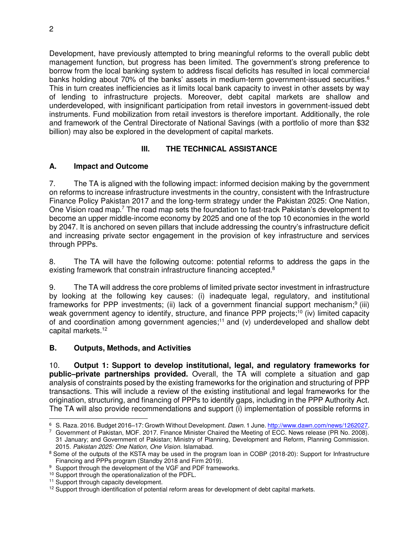Development, have previously attempted to bring meaningful reforms to the overall public debt management function, but progress has been limited. The government's strong preference to borrow from the local banking system to address fiscal deficits has resulted in local commercial banks holding about 70% of the banks' assets in medium-term government-issued securities.<sup>6</sup> This in turn creates inefficiencies as it limits local bank capacity to invest in other assets by way of lending to infrastructure projects. Moreover, debt capital markets are shallow and underdeveloped, with insignificant participation from retail investors in government-issued debt instruments. Fund mobilization from retail investors is therefore important. Additionally, the role and framework of the Central Directorate of National Savings (with a portfolio of more than \$32 billion) may also be explored in the development of capital markets.

## **III. THE TECHNICAL ASSISTANCE**

## **A. Impact and Outcome**

7. The TA is aligned with the following impact: informed decision making by the government on reforms to increase infrastructure investments in the country, consistent with the Infrastructure Finance Policy Pakistan 2017 and the long-term strategy under the Pakistan 2025: One Nation, One Vision road map.<sup>7</sup> The road map sets the foundation to fast-track Pakistan's development to become an upper middle-income economy by 2025 and one of the top 10 economies in the world by 2047. It is anchored on seven pillars that include addressing the country's infrastructure deficit and increasing private sector engagement in the provision of key infrastructure and services through PPPs.

8. The TA will have the following outcome: potential reforms to address the gaps in the existing framework that constrain infrastructure financing accepted.<sup>8</sup>

9. The TA will address the core problems of limited private sector investment in infrastructure by looking at the following key causes: (i) inadequate legal, regulatory, and institutional frameworks for PPP investments; (ii) lack of a government financial support mechanism;<sup>9</sup> (iii) weak government agency to identify, structure, and finance PPP projects;<sup>10</sup> (iv) limited capacity of and coordination among government agencies;<sup>11</sup> and (v) underdeveloped and shallow debt capital markets.<sup>12</sup>

## **B. Outputs, Methods, and Activities**

10. **Output 1: Support to develop institutional, legal, and regulatory frameworks for public–private partnerships provided.** Overall, the TA will complete a situation and gap analysis of constraints posed by the existing frameworks for the origination and structuring of PPP transactions. This will include a review of the existing institutional and legal frameworks for the origination, structuring, and financing of PPPs to identify gaps, including in the PPP Authority Act. The TA will also provide recommendations and support (i) implementation of possible reforms in

 $\overline{a}$ <sup>6</sup> S. Raza. 2016. Budget 2016–17: Growth Without Development. Dawn. 1 June[. http://www.dawn.com/news/1262027.](http://www.dawn.com/news/1262027)

<sup>7</sup> Government of Pakistan, MOF. 2017. Finance Minister Chaired the Meeting of ECC. News release (PR No. 2008). 31 January; and Government of Pakistan; Ministry of Planning, Development and Reform, Planning Commission. 2015. Pakistan 2025: One Nation, One Vision. Islamabad.

<sup>&</sup>lt;sup>8</sup> Some of the outputs of the KSTA may be used in the program loan in COBP (2018-20): Support for Infrastructure Financing and PPPs program (Standby 2018 and Firm 2019).

<sup>&</sup>lt;sup>9</sup> Support through the development of the VGF and PDF frameworks.

<sup>&</sup>lt;sup>10</sup> Support through the operationalization of the PDFL.

<sup>&</sup>lt;sup>11</sup> Support through capacity development.

 $12$  Support through identification of potential reform areas for development of debt capital markets.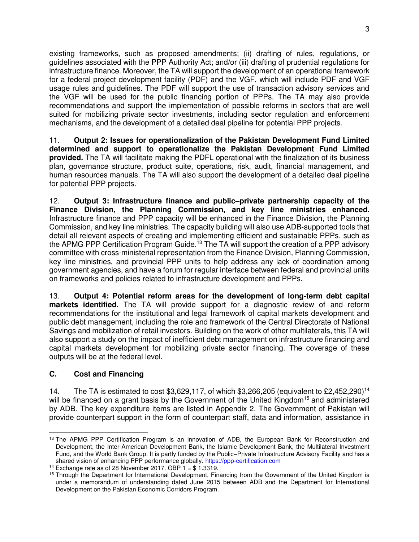existing frameworks, such as proposed amendments; (ii) drafting of rules, regulations, or guidelines associated with the PPP Authority Act; and/or (iii) drafting of prudential regulations for infrastructure finance. Moreover, the TA will support the development of an operational framework for a federal project development facility (PDF) and the VGF, which will include PDF and VGF usage rules and guidelines. The PDF will support the use of transaction advisory services and the VGF will be used for the public financing portion of PPPs. The TA may also provide recommendations and support the implementation of possible reforms in sectors that are well suited for mobilizing private sector investments, including sector regulation and enforcement mechanisms, and the development of a detailed deal pipeline for potential PPP projects.

11. **Output 2: Issues for operationalization of the Pakistan Development Fund Limited determined and support to operationalize the Pakistan Development Fund Limited provided.** The TA will facilitate making the PDFL operational with the finalization of its business plan, governance structure, product suite, operations, risk, audit, financial management, and human resources manuals. The TA will also support the development of a detailed deal pipeline for potential PPP projects.

12. **Output 3: Infrastructure finance and public–private partnership capacity of the Finance Division, the Planning Commission, and key line ministries enhanced.** Infrastructure finance and PPP capacity will be enhanced in the Finance Division, the Planning Commission, and key line ministries. The capacity building will also use ADB-supported tools that detail all relevant aspects of creating and implementing efficient and sustainable PPPs, such as the APMG PPP Certification Program Guide.<sup>13</sup> The TA will support the creation of a PPP advisory committee with cross-ministerial representation from the Finance Division, Planning Commission, key line ministries, and provincial PPP units to help address any lack of coordination among government agencies, and have a forum for regular interface between federal and provincial units on frameworks and policies related to infrastructure development and PPPs.

13. **Output 4: Potential reform areas for the development of long-term debt capital markets identified.** The TA will provide support for a diagnostic review of and reform recommendations for the institutional and legal framework of capital markets development and public debt management, including the role and framework of the Central Directorate of National Savings and mobilization of retail investors. Building on the work of other multilaterals, this TA will also support a study on the impact of inefficient debt management on infrastructure financing and capital markets development for mobilizing private sector financing. The coverage of these outputs will be at the federal level.

## **C. Cost and Financing**

14. The TA is estimated to cost \$3,629,117, of which \$3,266,205 (equivalent to £2,452,290)<sup>14</sup> will be financed on a grant basis by the Government of the United Kingdom<sup>15</sup> and administered by ADB. The key expenditure items are listed in Appendix 2. The Government of Pakistan will provide counterpart support in the form of counterpart staff, data and information, assistance in

 <sup>13</sup> The APMG PPP Certification Program is an innovation of ADB, the European Bank for Reconstruction and Development, the Inter-American Development Bank, the Islamic Development Bank, the Multilateral Investment Fund, and the World Bank Group. It is partly funded by the Public–Private Infrastructure Advisory Facility and has a shared vision of enhancing PPP performance globally. [https://ppp-certification.com](https://ppp-certification.com/)

<sup>&</sup>lt;sup>14</sup> Exchange rate as of 28 November 2017. GBP  $1 = $1.3319$ .

<sup>&</sup>lt;sup>15</sup> Through the Department for International Development. Financing from the Government of the United Kingdom is under a memorandum of understanding dated June 2015 between ADB and the Department for International Development on the Pakistan Economic Corridors Program.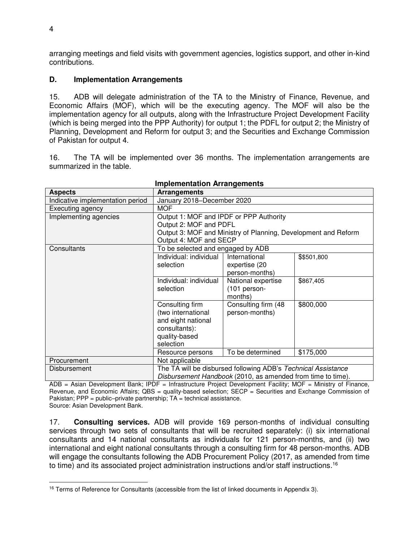arranging meetings and field visits with government agencies, logistics support, and other in-kind contributions.

### **D. Implementation Arrangements**

15. ADB will delegate administration of the TA to the Ministry of Finance, Revenue, and Economic Affairs (MOF), which will be the executing agency. The MOF will also be the implementation agency for all outputs, along with the Infrastructure Project Development Facility (which is being merged into the PPP Authority) for output 1; the PDFL for output 2; the Ministry of Planning, Development and Reform for output 3; and the Securities and Exchange Commission of Pakistan for output 4.

16. The TA will be implemented over 36 months. The implementation arrangements are summarized in the table.

| <b>Aspects</b>                   | <b>Arrangements</b>                                         |                                                                |             |  |
|----------------------------------|-------------------------------------------------------------|----------------------------------------------------------------|-------------|--|
| Indicative implementation period | January 2018-December 2020                                  |                                                                |             |  |
| Executing agency                 | <b>MOF</b>                                                  |                                                                |             |  |
| Implementing agencies            | Output 1: MOF and IPDF or PPP Authority                     |                                                                |             |  |
|                                  | Output 2: MOF and PDFL                                      |                                                                |             |  |
|                                  |                                                             | Output 3: MOF and Ministry of Planning, Development and Reform |             |  |
|                                  | Output 4: MOF and SECP                                      |                                                                |             |  |
| Consultants                      | To be selected and engaged by ADB                           |                                                                |             |  |
|                                  | Individual: individual                                      | International                                                  | \$\$501,800 |  |
|                                  | selection                                                   | expertise (20                                                  |             |  |
|                                  |                                                             | person-months)                                                 |             |  |
|                                  | Individual: individual                                      | National expertise                                             | \$867,405   |  |
|                                  | selection                                                   | (101 person-                                                   |             |  |
|                                  |                                                             | months)                                                        |             |  |
|                                  | Consulting firm                                             | Consulting firm (48                                            | \$800,000   |  |
|                                  | (two international                                          | person-months)                                                 |             |  |
|                                  | and eight national                                          |                                                                |             |  |
|                                  | consultants):                                               |                                                                |             |  |
|                                  | quality-based                                               |                                                                |             |  |
|                                  | selection                                                   |                                                                |             |  |
|                                  | Resource persons                                            | To be determined                                               | \$175,000   |  |
| Procurement                      | Not applicable                                              |                                                                |             |  |
| Disbursement                     |                                                             | The TA will be disbursed following ADB's Technical Assistance  |             |  |
|                                  | Disbursement Handbook (2010, as amended from time to time). |                                                                |             |  |

#### **Implementation Arrangements**

ADB = Asian Development Bank; IPDF = Infrastructure Project Development Facility; MOF = Ministry of Finance, Revenue, and Economic Affairs; QBS = quality-based selection; SECP = Securities and Exchange Commission of Pakistan;  $PPP = public-private$  partnership;  $TA = technical$  assistance. Source: Asian Development Bank.

17. **Consulting services.** ADB will provide 169 person-months of individual consulting services through two sets of consultants that will be recruited separately: (i) six international consultants and 14 national consultants as individuals for 121 person-months, and (ii) two international and eight national consultants through a consulting firm for 48 person-months. ADB will engage the consultants following the ADB Procurement Policy (2017, as amended from time to time) and its associated project administration instructions and/or staff instructions.<sup>16</sup>

 $\overline{a}$ <sup>16</sup> Terms of Reference for Consultants (accessible from the list of linked documents in Appendix 3).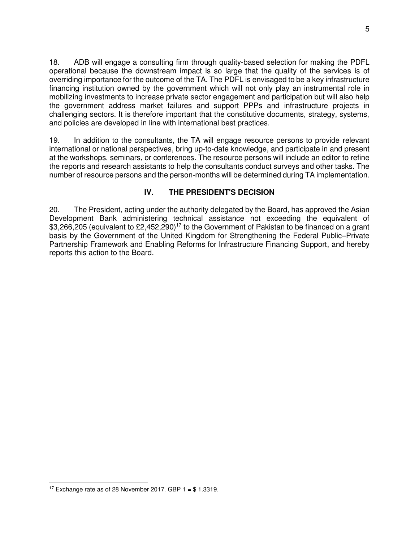18. ADB will engage a consulting firm through quality-based selection for making the PDFL operational because the downstream impact is so large that the quality of the services is of overriding importance for the outcome of the TA. The PDFL is envisaged to be a key infrastructure financing institution owned by the government which will not only play an instrumental role in mobilizing investments to increase private sector engagement and participation but will also help the government address market failures and support PPPs and infrastructure projects in challenging sectors. It is therefore important that the constitutive documents, strategy, systems, and policies are developed in line with international best practices.

19. In addition to the consultants, the TA will engage resource persons to provide relevant international or national perspectives, bring up-to-date knowledge, and participate in and present at the workshops, seminars, or conferences. The resource persons will include an editor to refine the reports and research assistants to help the consultants conduct surveys and other tasks. The number of resource persons and the person-months will be determined during TA implementation.

## **IV. THE PRESIDENT'S DECISION**

20. The President, acting under the authority delegated by the Board, has approved the Asian Development Bank administering technical assistance not exceeding the equivalent of \$3,266,205 (equivalent to £2,452,290)<sup>17</sup> to the Government of Pakistan to be financed on a grant basis by the Government of the United Kingdom for Strengthening the Federal Public–Private Partnership Framework and Enabling Reforms for Infrastructure Financing Support, and hereby reports this action to the Board.

 $\overline{a}$ <sup>17</sup> Exchange rate as of 28 November 2017. GBP  $1 = $1.3319$ .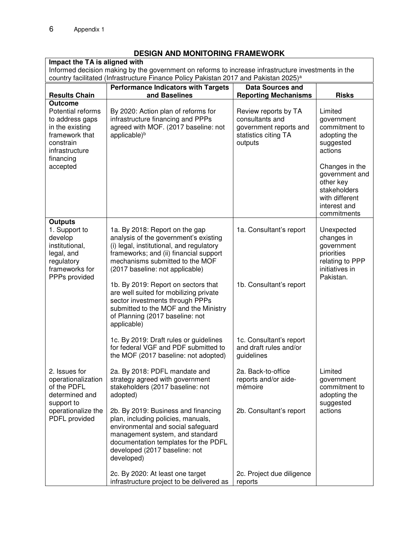PDFL provided

## **DESIGN AND MONITORING FRAMEWORK**

| DESIGN AND MONITURING FRAMEWORK                                                                                                         |                                                                                                                                                                                                                                     |                                                                                                      |                                                                                                                |  |  |
|-----------------------------------------------------------------------------------------------------------------------------------------|-------------------------------------------------------------------------------------------------------------------------------------------------------------------------------------------------------------------------------------|------------------------------------------------------------------------------------------------------|----------------------------------------------------------------------------------------------------------------|--|--|
| Impact the TA is aligned with                                                                                                           |                                                                                                                                                                                                                                     |                                                                                                      |                                                                                                                |  |  |
| Informed decision making by the government on reforms to increase infrastructure investments in the                                     |                                                                                                                                                                                                                                     |                                                                                                      |                                                                                                                |  |  |
|                                                                                                                                         | country facilitated (Infrastructure Finance Policy Pakistan 2017 and Pakistan 2025) <sup>a</sup>                                                                                                                                    |                                                                                                      |                                                                                                                |  |  |
| <b>Performance Indicators with Targets</b><br><b>Data Sources and</b>                                                                   |                                                                                                                                                                                                                                     |                                                                                                      |                                                                                                                |  |  |
| <b>Results Chain</b>                                                                                                                    | and Baselines                                                                                                                                                                                                                       | <b>Reporting Mechanisms</b>                                                                          | <b>Risks</b>                                                                                                   |  |  |
| <b>Outcome</b><br>Potential reforms<br>to address gaps<br>in the existing<br>framework that<br>constrain<br>infrastructure<br>financing | By 2020: Action plan of reforms for<br>infrastructure financing and PPPs<br>agreed with MOF. (2017 baseline: not<br>applicable) <sup>b</sup>                                                                                        | Review reports by TA<br>consultants and<br>government reports and<br>statistics citing TA<br>outputs | Limited<br>government<br>commitment to<br>adopting the<br>suggested<br>actions                                 |  |  |
| accepted                                                                                                                                |                                                                                                                                                                                                                                     |                                                                                                      | Changes in the<br>government and<br>other key<br>stakeholders<br>with different<br>interest and<br>commitments |  |  |
| <b>Outputs</b><br>1. Support to<br>develop<br>institutional.<br>legal, and<br>regulatory<br>frameworks for<br>PPPs provided             | 1a. By 2018: Report on the gap<br>analysis of the government's existing<br>(i) legal, institutional, and regulatory<br>frameworks; and (ii) financial support<br>mechanisms submitted to the MOF<br>(2017 baseline: not applicable) | 1a. Consultant's report                                                                              | Unexpected<br>changes in<br>government<br>priorities<br>relating to PPP<br>initiatives in<br>Pakistan.         |  |  |
|                                                                                                                                         | 1b. By 2019: Report on sectors that<br>are well suited for mobilizing private<br>sector investments through PPPs<br>submitted to the MOF and the Ministry<br>of Planning (2017 baseline: not<br>applicable)                         | 1b. Consultant's report                                                                              |                                                                                                                |  |  |
|                                                                                                                                         | 1c. By 2019: Draft rules or guidelines<br>for federal VGF and PDF submitted to<br>the MOF (2017 baseline: not adopted)                                                                                                              | 1c. Consultant's report<br>and draft rules and/or<br>guidelines                                      |                                                                                                                |  |  |
| 2. Issues for<br>operationalization<br>of the PDFL<br>determined and<br>support to                                                      | 2a. By 2018: PDFL mandate and<br>strategy agreed with government<br>stakeholders (2017 baseline: not<br>adopted)                                                                                                                    | 2a. Back-to-office<br>reports and/or aide-<br>mémoire                                                | Limited<br>government<br>commitment to<br>adopting the<br>suggested                                            |  |  |
| operationalize the                                                                                                                      | 2b. By 2019: Business and financing                                                                                                                                                                                                 | 2b. Consultant's report                                                                              | actions                                                                                                        |  |  |

plan, including policies, manuals, environmental and social safeguard management system, and standard documentation templates for the PDFL

developed (2017 baseline: not

2c. By 2020: At least one target

infrastructure project to be delivered as

2c. Project due diligence

reports

developed)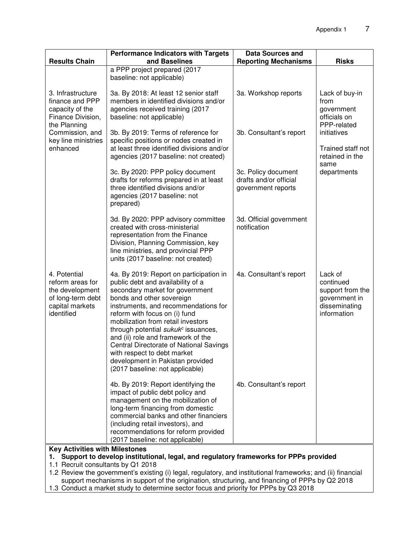|                                                                                                           | <b>Performance Indicators with Targets</b>                                                                                                                                                                                                                                                                                                                                                                                                                                                            | <b>Data Sources and</b>                                             |                                                                                           |
|-----------------------------------------------------------------------------------------------------------|-------------------------------------------------------------------------------------------------------------------------------------------------------------------------------------------------------------------------------------------------------------------------------------------------------------------------------------------------------------------------------------------------------------------------------------------------------------------------------------------------------|---------------------------------------------------------------------|-------------------------------------------------------------------------------------------|
| <b>Results Chain</b>                                                                                      | and Baselines                                                                                                                                                                                                                                                                                                                                                                                                                                                                                         | <b>Reporting Mechanisms</b>                                         | <b>Risks</b>                                                                              |
|                                                                                                           | a PPP project prepared (2017<br>baseline: not applicable)                                                                                                                                                                                                                                                                                                                                                                                                                                             |                                                                     |                                                                                           |
| 3. Infrastructure<br>finance and PPP<br>capacity of the<br>Finance Division,<br>the Planning              | 3a. By 2018: At least 12 senior staff<br>members in identified divisions and/or<br>agencies received training (2017<br>baseline: not applicable)                                                                                                                                                                                                                                                                                                                                                      | 3a. Workshop reports                                                | Lack of buy-in<br>from<br>government<br>officials on<br>PPP-related                       |
| Commission, and<br>key line ministries<br>enhanced                                                        | 3b. By 2019: Terms of reference for<br>specific positions or nodes created in<br>at least three identified divisions and/or<br>agencies (2017 baseline: not created)                                                                                                                                                                                                                                                                                                                                  | 3b. Consultant's report                                             | initiatives<br>Trained staff not<br>retained in the                                       |
|                                                                                                           | 3c. By 2020: PPP policy document<br>drafts for reforms prepared in at least<br>three identified divisions and/or<br>agencies (2017 baseline: not<br>prepared)                                                                                                                                                                                                                                                                                                                                         | 3c. Policy document<br>drafts and/or official<br>government reports | same<br>departments                                                                       |
|                                                                                                           | 3d. By 2020: PPP advisory committee<br>created with cross-ministerial<br>representation from the Finance<br>Division, Planning Commission, key<br>line ministries, and provincial PPP<br>units (2017 baseline: not created)                                                                                                                                                                                                                                                                           | 3d. Official government<br>notification                             |                                                                                           |
| 4. Potential<br>reform areas for<br>the development<br>of long-term debt<br>capital markets<br>identified | 4a. By 2019: Report on participation in<br>public debt and availability of a<br>secondary market for government<br>bonds and other sovereign<br>instruments, and recommendations for<br>reform with focus on (i) fund<br>mobilization from retail investors<br>through potential sukuk <sup>c</sup> issuances,<br>and (ii) role and framework of the<br>Central Directorate of National Savings<br>with respect to debt market<br>development in Pakistan provided<br>(2017 baseline: not applicable) | 4a. Consultant's report                                             | Lack of<br>continued<br>support from the<br>government in<br>disseminating<br>information |
|                                                                                                           | 4b. By 2019: Report identifying the<br>impact of public debt policy and<br>management on the mobilization of<br>long-term financing from domestic<br>commercial banks and other financiers<br>(including retail investors), and<br>recommendations for reform provided<br>(2017 baseline: not applicable)                                                                                                                                                                                             | 4b. Consultant's report                                             |                                                                                           |
| <b>Key Activities with Milestones</b>                                                                     |                                                                                                                                                                                                                                                                                                                                                                                                                                                                                                       |                                                                     |                                                                                           |

**1. Support to develop institutional, legal, and regulatory frameworks for PPPs provided** 

1.1 Recruit consultants by Q1 2018

1.2 Review the government's existing (i) legal, regulatory, and institutional frameworks; and (ii) financial support mechanisms in support of the origination, structuring, and financing of PPPs by Q2 2018

1.3 Conduct a market study to determine sector focus and priority for PPPs by Q3 2018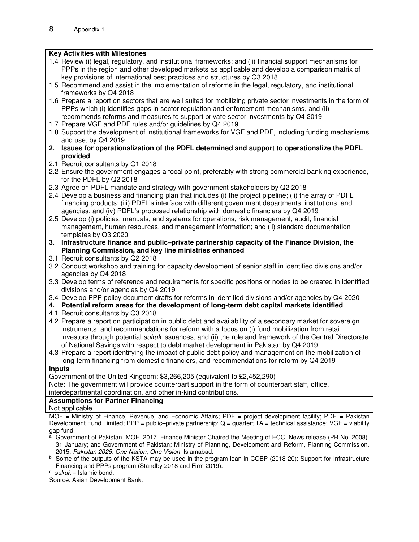#### **Key Activities with Milestones**

- 1.4 Review (i) legal, regulatory, and institutional frameworks; and (ii) financial support mechanisms for PPPs in the region and other developed markets as applicable and develop a comparison matrix of key provisions of international best practices and structures by Q3 2018
- 1.5 Recommend and assist in the implementation of reforms in the legal, regulatory, and institutional frameworks by Q4 2018
- 1.6 Prepare a report on sectors that are well suited for mobilizing private sector investments in the form of PPPs which (i) identifies gaps in sector regulation and enforcement mechanisms, and (ii) recommends reforms and measures to support private sector investments by Q4 2019
- 1.7 Prepare VGF and PDF rules and/or guidelines by Q4 2019
- 1.8 Support the development of institutional frameworks for VGF and PDF, including funding mechanisms and use, by Q4 2019
- **2. Issues for operationalization of the PDFL determined and support to operationalize the PDFL provided**
- 2.1 Recruit consultants by Q1 2018
- 2.2 Ensure the government engages a focal point, preferably with strong commercial banking experience, for the PDFL by Q2 2018
- 2.3 Agree on PDFL mandate and strategy with government stakeholders by Q2 2018
- 2.4 Develop a business and financing plan that includes (i) the project pipeline; (ii) the array of PDFL financing products; (iii) PDFL's interface with different government departments, institutions, and agencies; and (iv) PDFL's proposed relationship with domestic financiers by Q4 2019
- 2.5 Develop (i) policies, manuals, and systems for operations, risk management, audit, financial management, human resources, and management information; and (ii) standard documentation templates by Q3 2020
- **3. Infrastructure finance and public–private partnership capacity of the Finance Division, the Planning Commission, and key line ministries enhanced**
- 3.1 Recruit consultants by Q2 2018
- 3.2 Conduct workshop and training for capacity development of senior staff in identified divisions and/or agencies by Q4 2018
- 3.3 Develop terms of reference and requirements for specific positions or nodes to be created in identified divisions and/or agencies by Q4 2019
- 3.4 Develop PPP policy document drafts for reforms in identified divisions and/or agencies by Q4 2020
- **4. Potential reform areas for the development of long-term debt capital markets identified**
- 4.1 Recruit consultants by Q3 2018
- 4.2 Prepare a report on participation in public debt and availability of a secondary market for sovereign instruments, and recommendations for reform with a focus on (i) fund mobilization from retail investors through potential *sukuk* issuances, and (ii) the role and framework of the Central Directorate of National Savings with respect to debt market development in Pakistan by Q4 2019
- 4.3 Prepare a report identifying the impact of public debt policy and management on the mobilization of long-term financing from domestic financiers, and recommendations for reform by Q4 2019

#### **Inputs**

Government of the United Kingdom: \$3,266,205 (equivalent to £2,452,290) Note: The government will provide counterpart support in the form of counterpart staff, office, interdepartmental coordination, and other in-kind contributions.

#### **Assumptions for Partner Financing**

Not applicable

MOF = Ministry of Finance, Revenue, and Economic Affairs; PDF = project development facility; PDFL= Pakistan Development Fund Limited; PPP = public-private partnership;  $Q =$  quarter; TA = technical assistance; VGF = viability gap fund.

- <sup>a</sup> Government of Pakistan, MOF. 2017. Finance Minister Chaired the Meeting of ECC. News release (PR No. 2008). 31 January; and Government of Pakistan; Ministry of Planning, Development and Reform, Planning Commission. 2015. Pakistan 2025: One Nation, One Vision. Islamabad.
- b Some of the outputs of the KSTA may be used in the program loan in COBP (2018-20): Support for Infrastructure Financing and PPPs program (Standby 2018 and Firm 2019).
- $\circ$  sukuk = Islamic bond.

Source: Asian Development Bank.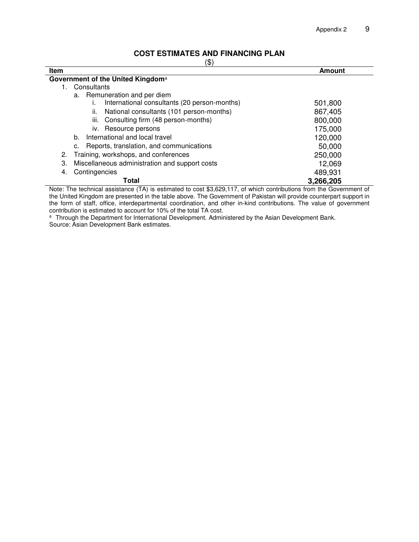## **COST ESTIMATES AND FINANCING PLAN**

|--|

| Item |                                                 | <b>Amount</b> |
|------|-------------------------------------------------|---------------|
|      | Government of the United Kingdom <sup>a</sup>   |               |
| 1.   | Consultants                                     |               |
|      | a. Remuneration and per diem                    |               |
|      | International consultants (20 person-months)    | 501,800       |
|      | National consultants (101 person-months)<br>ii. | 867,405       |
|      | iii.<br>Consulting firm (48 person-months)      | 800,000       |
|      | iv. Resource persons                            | 175,000       |
|      | International and local travel<br>b.            | 120,000       |
|      | Reports, translation, and communications<br>c.  | 50,000        |
| 2.   | Training, workshops, and conferences            | 250,000       |
| 3.   | Miscellaneous administration and support costs  | 12,069        |
| 4.   | Contingencies                                   | 489,931       |
|      | Total                                           | 3,266,205     |

Note: The technical assistance (TA) is estimated to cost \$3,629,117, of which contributions from the Government of the United Kingdom are presented in the table above. The Government of Pakistan will provide counterpart support in the form of staff, office, interdepartmental coordination, and other in-kind contributions. The value of government contribution is estimated to account for 10% of the total TA cost.

<sup>a</sup> Through the Department for International Development. Administered by the Asian Development Bank. Source: Asian Development Bank estimates.